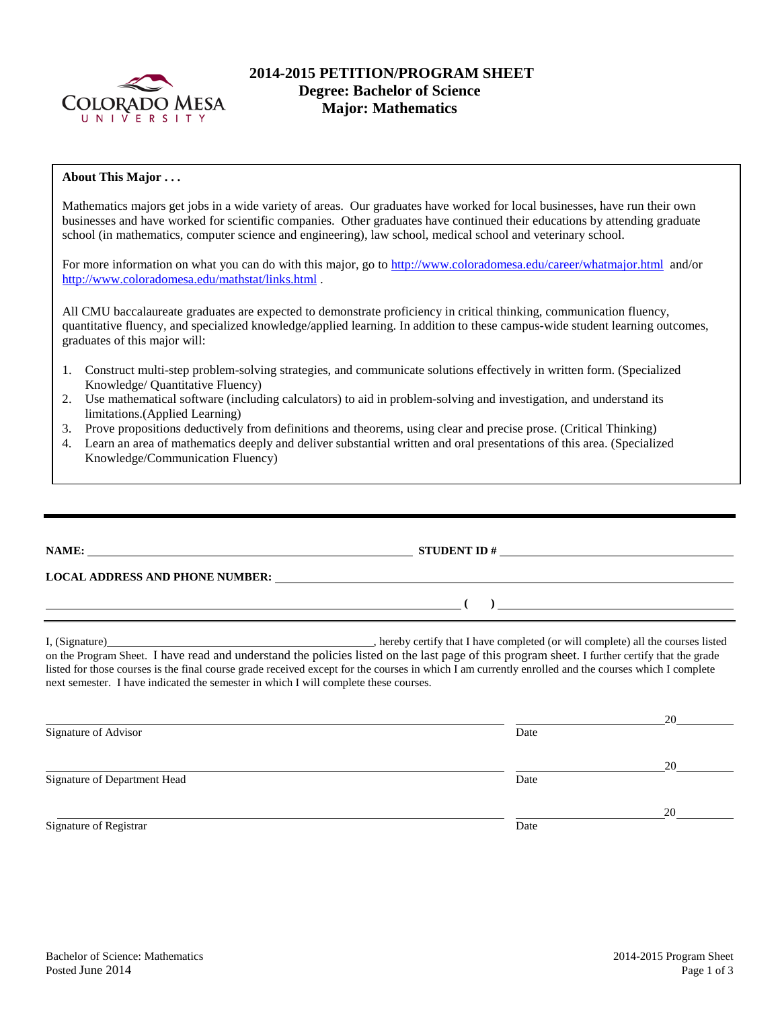

# **2014-2015 PETITION/PROGRAM SHEET Degree: Bachelor of Science Major: Mathematics**

## **About This Major . . .**

Mathematics majors get jobs in a wide variety of areas. Our graduates have worked for local businesses, have run their own businesses and have worked for scientific companies. Other graduates have continued their educations by attending graduate school (in mathematics, computer science and engineering), law school, medical school and veterinary school.

For more information on what you can do with this major, go to<http://www.coloradomesa.edu/career/whatmajor.html>and/or <http://www.coloradomesa.edu/mathstat/links.html>.

All CMU baccalaureate graduates are expected to demonstrate proficiency in critical thinking, communication fluency, quantitative fluency, and specialized knowledge/applied learning. In addition to these campus-wide student learning outcomes, graduates of this major will:

- 1. Construct multi-step problem-solving strategies, and communicate solutions effectively in written form. (Specialized Knowledge/ Quantitative Fluency)
- 2. Use mathematical software (including calculators) to aid in problem-solving and investigation, and understand its limitations.(Applied Learning)
- 3. Prove propositions deductively from definitions and theorems, using clear and precise prose. (Critical Thinking)
- 4. Learn an area of mathematics deeply and deliver substantial written and oral presentations of this area. (Specialized Knowledge/Communication Fluency)

|  | ۱ |  |
|--|---|--|

**LOCAL ADDRESS AND PHONE NUMBER:**

I, (Signature) , hereby certify that I have completed (or will complete) all the courses listed on the Program Sheet. I have read and understand the policies listed on the last page of this program sheet. I further certify that the grade listed for those courses is the final course grade received except for the courses in which I am currently enrolled and the courses which I complete next semester. I have indicated the semester in which I will complete these courses.

**STUDENT ID**  $#$ 

**( )** 

|                              |      | 20 |
|------------------------------|------|----|
| Signature of Advisor         | Date |    |
|                              |      | 20 |
| Signature of Department Head | Date |    |
|                              |      | 20 |
| Signature of Registrar       | Date |    |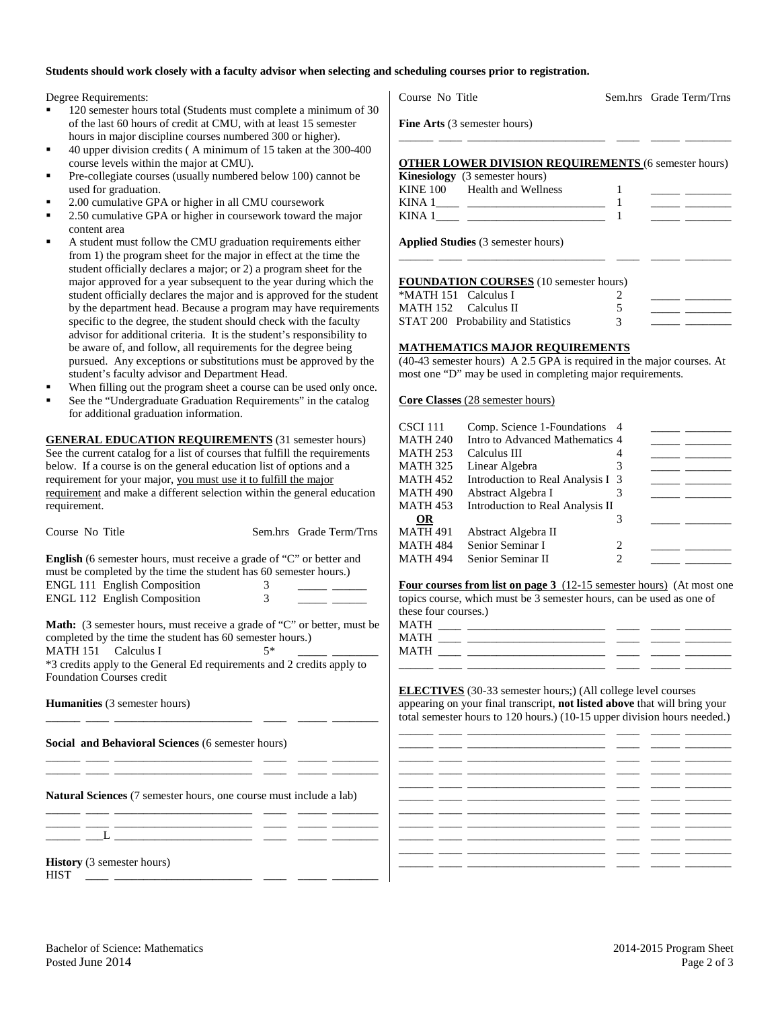### **Students should work closely with a faculty advisor when selecting and scheduling courses prior to registration.**

Degree Requirements:

- 120 semester hours total (Students must complete a minimum of 30 of the last 60 hours of credit at CMU, with at least 15 semester hours in major discipline courses numbered 300 or higher).
- 40 upper division credits ( A minimum of 15 taken at the 300-400 course levels within the major at CMU).
- Pre-collegiate courses (usually numbered below 100) cannot be used for graduation.
- 2.00 cumulative GPA or higher in all CMU coursework
- 2.50 cumulative GPA or higher in coursework toward the major content area
- A student must follow the CMU graduation requirements either from 1) the program sheet for the major in effect at the time the student officially declares a major; or 2) a program sheet for the major approved for a year subsequent to the year during which the student officially declares the major and is approved for the student by the department head. Because a program may have requirements specific to the degree, the student should check with the faculty advisor for additional criteria. It is the student's responsibility to be aware of, and follow, all requirements for the degree being pursued. Any exceptions or substitutions must be approved by the student's faculty advisor and Department Head.
- When filling out the program sheet a course can be used only once.
- See the "Undergraduate Graduation Requirements" in the catalog for additional graduation information.

**GENERAL EDUCATION REQUIREMENTS** (31 semester hours) See the current catalog for a list of courses that fulfill the requirements below. If a course is on the general education list of options and a requirement for your major, you must use it to fulfill the major requirement and make a different selection within the general education requirement.

| Course No Title                                                                                                                                                                                                                                                                                                                                                              |        | Sem.hrs Grade Term/Trns                 |
|------------------------------------------------------------------------------------------------------------------------------------------------------------------------------------------------------------------------------------------------------------------------------------------------------------------------------------------------------------------------------|--------|-----------------------------------------|
| <b>English</b> (6 semester hours, must receive a grade of "C" or better and<br>must be completed by the time the student has 60 semester hours.)<br><b>ENGL 111 English Composition</b><br>ENGL 112 English Composition                                                                                                                                                      | 3<br>3 | <u> 1990 - Jan Barnett, mars et al.</u> |
| <b>Math:</b> (3 semester hours, must receive a grade of "C" or better, must be<br>completed by the time the student has 60 semester hours.)<br>MATH 151 Calculus I<br>*3 credits apply to the General Ed requirements and 2 credits apply to<br><b>Foundation Courses credit</b>                                                                                             | $5*$   |                                         |
| <b>Humanities</b> (3 semester hours)<br>Social and Behavioral Sciences (6 semester hours)                                                                                                                                                                                                                                                                                    |        |                                         |
| <u> 1986 - Johann John Harry Harry Harry Harry Harry Harry Harry Harry Harry Harry Harry Harry Harry Harry Harry Harry Harry Harry Harry Harry Harry Harry Harry Harry Harry Harry Harry Harry Harry Harry Harry Harry Harry Har</u><br><b>Natural Sciences</b> (7 semester hours, one course must include a lab)<br><u> 1989 - Andrea Stadt, fransk politiker (d. 1989)</u> |        |                                         |
|                                                                                                                                                                                                                                                                                                                                                                              |        |                                         |
| <b>History</b> (3 semester hours)<br><b>HIST</b>                                                                                                                                                                                                                                                                                                                             |        |                                         |

Course No Title Sem.hrs Grade Term/Trns

**Fine Arts** (3 semester hours)

# **OTHER LOWER DIVISION REQUIREMENTS** (6 semester hours) **Kinesiology** (3 semester hours)<br>**KINE 100** Health and Welln KINE 100 Health and Wellness 1<br>KINA 1 1 KINA 1\_\_\_\_ \_\_\_\_\_\_\_\_\_\_\_\_\_\_\_\_\_\_\_\_\_\_\_\_ 1 \_\_\_\_\_ \_\_\_\_\_\_\_\_ KINA  $1 \qquad \qquad$   $\qquad \qquad$   $\qquad \qquad$   $\qquad$   $\qquad$   $\qquad \qquad$   $\qquad$   $\qquad$   $\qquad$   $\qquad$   $\qquad$   $\qquad$   $\qquad$   $\qquad$   $\qquad$   $\qquad$   $\qquad$   $\qquad$   $\qquad$   $\qquad$   $\qquad$   $\qquad$   $\qquad$   $\qquad$   $\qquad$   $\qquad$   $\qquad$   $\qquad$   $\qquad$   $\qquad$   $\qquad$   $\qquad$   $\qquad$   $\qquad$

\_\_\_\_\_\_ \_\_\_\_ \_\_\_\_\_\_\_\_\_\_\_\_\_\_\_\_\_\_\_\_\_\_\_\_ \_\_\_\_ \_\_\_\_\_ \_\_\_\_\_\_\_\_

**Applied Studies** (3 semester hours)

#### **FOUNDATION COURSES** (10 semester hours)

| *MATH 151 Calculus I |                                     |  |  |
|----------------------|-------------------------------------|--|--|
| MATH 152 Calculus II |                                     |  |  |
|                      | STAT 200 Probability and Statistics |  |  |

\_\_\_\_\_\_ \_\_\_\_ \_\_\_\_\_\_\_\_\_\_\_\_\_\_\_\_\_\_\_\_\_\_\_\_ \_\_\_\_ \_\_\_\_\_ \_\_\_\_\_\_\_\_

### **MATHEMATICS MAJOR REQUIREMENTS**

(40-43 semester hours) A 2.5 GPA is required in the major courses. At most one "D" may be used in completing major requirements.

**Core Classes** (28 semester hours)

| CSCI 111        | Comp. Science 1-Foundations 4     |   |  |
|-----------------|-----------------------------------|---|--|
| MATH 240        | Intro to Advanced Mathematics 4   |   |  |
| MATH 253        | Calculus III                      | 4 |  |
| MATH 325        | Linear Algebra                    | 3 |  |
| MATH 452        | Introduction to Real Analysis I 3 |   |  |
| MATH 490        | Abstract Algebra I                |   |  |
| MATH 453        | Introduction to Real Analysis II  |   |  |
| <b>OR</b>       |                                   | 3 |  |
| <b>MATH 491</b> | Abstract Algebra II               |   |  |
| MATH 484        | Senior Seminar I                  | 2 |  |
| MATH 494        | Senior Seminar II                 | 2 |  |
|                 |                                   |   |  |

**Four courses from list on page 3** (12-15 semester hours) (At most one topics course, which must be 3 semester hours, can be used as one of these four courses.)

| MATH |  |  |  |
|------|--|--|--|
| MATH |  |  |  |
| MATH |  |  |  |

**ELECTIVES** (30-33 semester hours;) (All college level courses appearing on your final transcript, **not listed above** that will bring your total semester hours to 120 hours.) (10-15 upper division hours needed.)

|        | ___<br>_ _  |  |  |
|--------|-------------|--|--|
|        | _ ______ __ |  |  |
|        |             |  |  |
|        |             |  |  |
| ______ |             |  |  |
|        |             |  |  |
|        |             |  |  |
|        |             |  |  |
|        |             |  |  |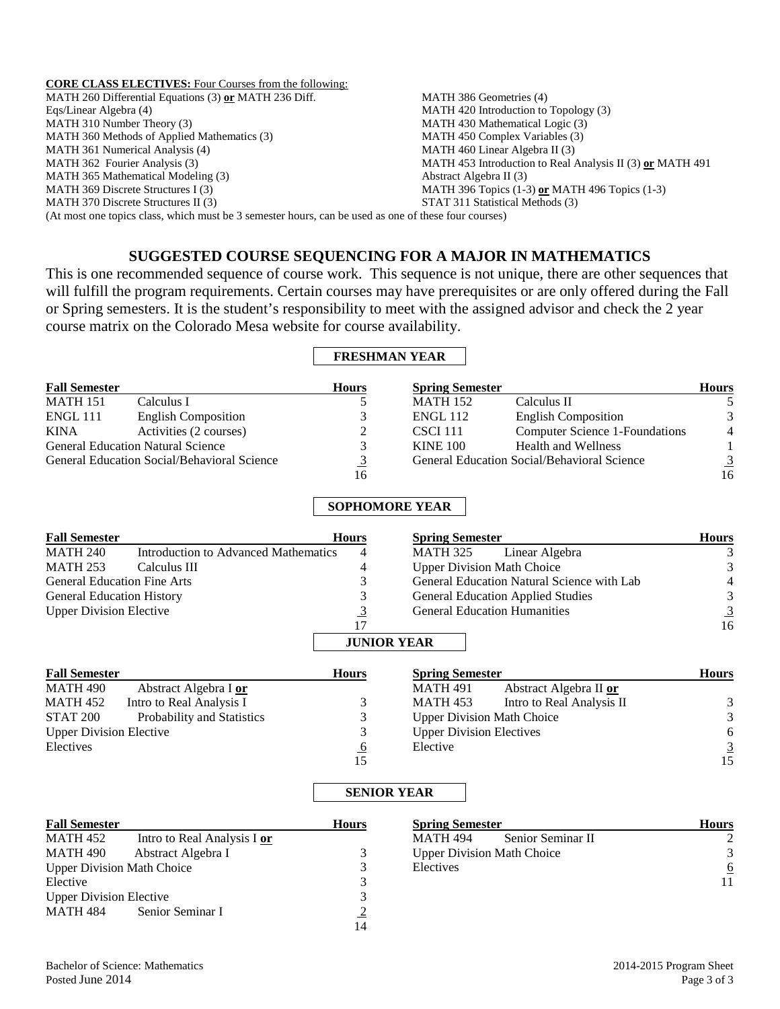### **CORE CLASS ELECTIVES:** Four Courses from the following:

MATH 260 Differential Equations (3) **or** MATH 236 Diff. Eqs/Linear Algebra (4) MATH 310 Number Theory (3) MATH 360 Methods of Applied Mathematics (3) MATH 361 Numerical Analysis (4) MATH 362 Fourier Analysis (3) MATH 365 Mathematical Modeling (3) MATH 369 Discrete Structures I (3) MATH 370 Discrete Structures II (3) MATH 386 Geometries (4) MATH 420 Introduction to Topology (3) MATH 430 Mathematical Logic (3) MATH 450 Complex Variables (3) MATH 460 Linear Algebra II (3) MATH 453 Introduction to Real Analysis II (3) **or** MATH 491 Abstract Algebra II (3) MATH 396 Topics (1-3) **or** MATH 496 Topics (1-3) STAT 311 Statistical Methods (3) (At most one topics class, which must be 3 semester hours, can be used as one of these four courses)

# **SUGGESTED COURSE SEQUENCING FOR A MAJOR IN MATHEMATICS**

This is one recommended sequence of course work. This sequence is not unique, there are other sequences that will fulfill the program requirements. Certain courses may have prerequisites or are only offered during the Fall or Spring semesters. It is the student's responsibility to meet with the assigned advisor and check the 2 year course matrix on the Colorado Mesa website for course availability.

## **FRESHMAN YEAR**

| <b>Fall Semester</b>                        |                                          | <b>Hours</b> | <b>Spring Semester</b> |                                             | <b>Hours</b>   |
|---------------------------------------------|------------------------------------------|--------------|------------------------|---------------------------------------------|----------------|
| <b>MATH 151</b>                             | Calculus I                               |              | <b>MATH 152</b>        | Calculus II                                 |                |
| ENGL 111                                    | <b>English Composition</b>               |              | <b>ENGL 112</b>        | <b>English Composition</b>                  | 3              |
| <b>KINA</b>                                 | Activities (2 courses)                   | 2            | CSCI 111               | Computer Science 1-Foundations              | $\overline{4}$ |
|                                             | <b>General Education Natural Science</b> |              | <b>KINE 100</b>        | <b>Health and Wellness</b>                  |                |
| General Education Social/Behavioral Science |                                          | 3            |                        | General Education Social/Behavioral Science | $\overline{3}$ |
|                                             |                                          | 16           |                        |                                             | 16             |

# **SOPHOMORE YEAR**

| <b>Fall Semester</b>               |                                      | <b>Hours</b>   | <b>Spring Semester</b>                       | <b>Hours</b>   |
|------------------------------------|--------------------------------------|----------------|----------------------------------------------|----------------|
| <b>MATH 240</b>                    | Introduction to Advanced Mathematics | 4              | Linear Algebra<br><b>MATH 325</b>            | 3              |
| <b>MATH 253</b>                    | Calculus III                         | 4              | <b>Upper Division Math Choice</b>            | 3              |
| <b>General Education Fine Arts</b> |                                      |                | General Education Natural Science with Lab   | 4              |
| <b>General Education History</b>   |                                      |                | <b>General Education Applied Studies</b>     | 3              |
| <b>Upper Division Elective</b>     |                                      | $\overline{3}$ | <b>General Education Humanities</b>          | $\overline{3}$ |
|                                    |                                      | 17             |                                              | 16             |
|                                    |                                      |                | <b>JUNIOR YEAR</b>                           |                |
| <b>Fall Semester</b>               |                                      | <b>Hours</b>   | <b>Spring Semester</b>                       | <b>Hours</b>   |
| <b>MATH 490</b>                    | Abstract Algebra I or                |                | Abstract Algebra II or<br><b>MATH 491</b>    |                |
| <b>MATH 452</b>                    | Intro to Real Analysis I             |                | <b>MATH 453</b><br>Intro to Real Analysis II | 3              |
| <b>STAT 200</b>                    | Probability and Statistics           | 3              | <b>Upper Division Math Choice</b>            | 3              |
| <b>Upper Division Elective</b>     |                                      |                | <b>Upper Division Electives</b>              | 6              |
| Electives                          |                                      | <u>_0</u>      | Elective                                     |                |
|                                    |                                      | 15             |                                              | 15             |

## **SENIOR YEAR**

| <b>Fall Semester</b>              |                             | <b>Hours</b> | <b>Spring Semester</b>            | <b>Hours</b> |
|-----------------------------------|-----------------------------|--------------|-----------------------------------|--------------|
| MATH 452                          | Intro to Real Analysis I or |              | Senior Seminar II<br>MATH 494     |              |
| MATH 490                          | Abstract Algebra I          |              | <b>Upper Division Math Choice</b> | 3            |
| <b>Upper Division Math Choice</b> |                             |              | Electives                         | 6            |
| Elective                          |                             |              |                                   | 11           |
| <b>Upper Division Elective</b>    |                             |              |                                   |              |
| MATH 484                          | Senior Seminar I            |              |                                   |              |

 $\overline{14}$